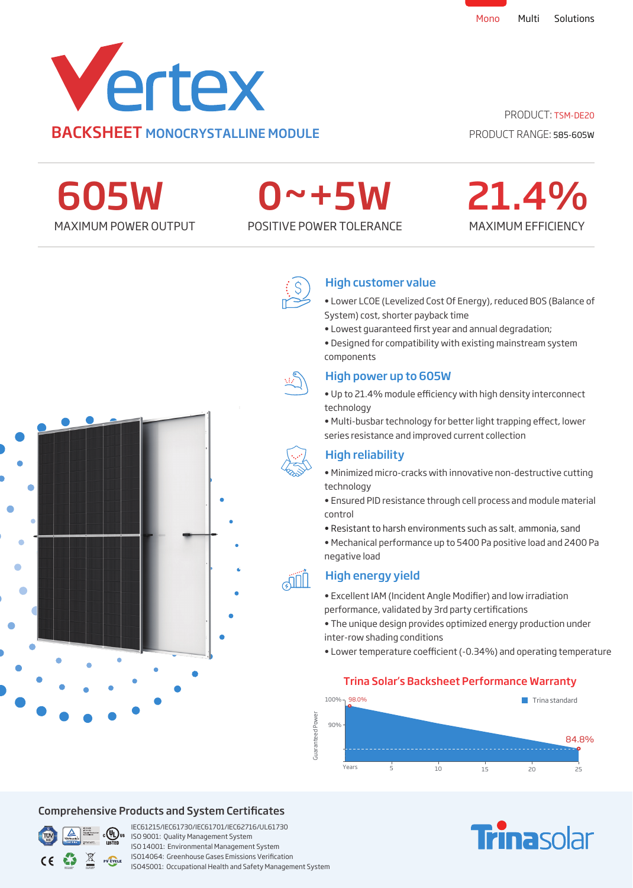

PRODUCT: TSM-DE20 PRODUCT RANGE: 585-605W

MAXIMUM EFFICIENCY

21.4%

605W

# 0~+5W

MAXIMUM POWER OUTPUT POSITIVE POWER TOLERANCE



## High customer value

• Lower LCOE (Levelized Cost Of Energy), reduced BOS (Balance of System) cost, shorter payback time

• Lowest quaranteed first year and annual degradation;

• Designed for compatibility with existing mainstream system components



# High power up to 605W

• Up to 21.4% module efficiency with high density interconnect technology

• Multi-busbar technology for better light trapping effect, lower series resistance and improved current collection

# High reliability

- Minimized micro-cracks with innovative non-destructive cutting technology
- Ensured PID resistance through cell process and module material control
- Resistant to harsh environments such as salt, ammonia, sand
- Mechanical performance up to 5400 Pa positive load and 2400 Pa negative load

# High energy yield

• Excellent IAM (Incident Angle Modifier) and low irradiation performance, validated by 3rd party certifications

• The unique design provides optimized energy production under inter-row shading conditions

• Lower temperature coefficient (-0.34%) and operating temperature

## Trina Solar's Backsheet Performance Warranty



# Comprehensive Products and System Certificates



IEC61215/IEC61730/IEC61701/IEC62716/UL61730 **EXTED** ISO 9001: Quality Management System ISO 14001: Environmental Management System ISO14064: Greenhouse Gases Emissions Verication ISO45001: Occupational Health and Safety Management System

# **Trinasolar**